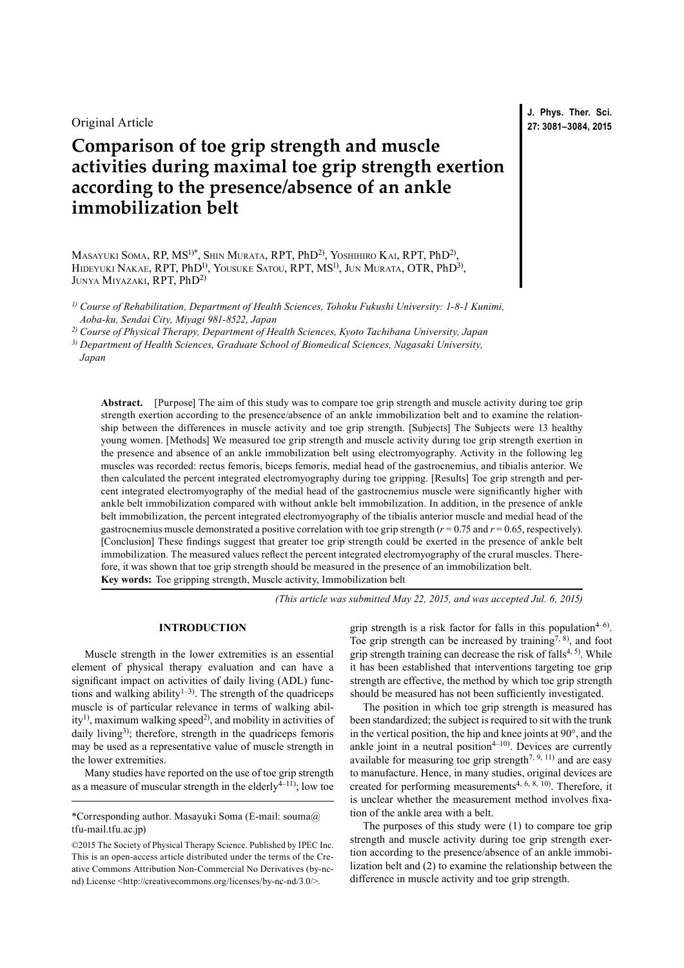Original Article

# **Comparison of toe grip strength and muscle activities during maximal toe grip strength exertion according to the presence/absence of an ankle immobilization belt**

Masayuki Soma, RP, MS1)\*, Shin Murata, RPT, PhD2), Yoshihiro Kai, RPT, PhD2), HIDEYUKI NAKAE, RPT, PhD<sup>1)</sup>, YOUSUKE SATOU, RPT, MS<sup>1)</sup>, JUN MURATA, OTR, PhD<sup>3)</sup>, Junya Miyazaki, RPT, PhD2)

*1) Course of Rehabilitation, Department of Health Sciences, Tohoku Fukushi University: 1-8-1 Kunimi, Aoba-ku, Sendai City, Miyagi 981-8522, Japan*

*2) Course of Physical Therapy, Department of Health Sciences, Kyoto Tachibana University, Japan*

*3) Department of Health Sciences, Graduate School of Biomedical Sciences, Nagasaki University,* 

*Japan*

**Abstract.** [Purpose] The aim of this study was to compare toe grip strength and muscle activity during toe grip strength exertion according to the presence/absence of an ankle immobilization belt and to examine the relationship between the differences in muscle activity and toe grip strength. [Subjects] The Subjects were 13 healthy young women. [Methods] We measured toe grip strength and muscle activity during toe grip strength exertion in the presence and absence of an ankle immobilization belt using electromyography. Activity in the following leg muscles was recorded: rectus femoris, biceps femoris, medial head of the gastrocnemius, and tibialis anterior. We then calculated the percent integrated electromyography during toe gripping. [Results] Toe grip strength and percent integrated electromyography of the medial head of the gastrocnemius muscle were significantly higher with ankle belt immobilization compared with without ankle belt immobilization. In addition, in the presence of ankle belt immobilization, the percent integrated electromyography of the tibialis anterior muscle and medial head of the gastrocnemius muscle demonstrated a positive correlation with toe grip strength (*r* = 0.75 and *r* = 0.65, respectively). [Conclusion] These findings suggest that greater toe grip strength could be exerted in the presence of ankle belt immobilization. The measured values reflect the percent integrated electromyography of the crural muscles. Therefore, it was shown that toe grip strength should be measured in the presence of an immobilization belt. **Key words:** Toe gripping strength, Muscle activity, Immobilization belt

*(This article was submitted May 22, 2015, and was accepted Jul. 6, 2015)*

## **INTRODUCTION**

Muscle strength in the lower extremities is an essential element of physical therapy evaluation and can have a significant impact on activities of daily living (ADL) functions and walking ability $1-3$ . The strength of the quadriceps muscle is of particular relevance in terms of walking ability<sup>1)</sup>, maximum walking speed<sup>2)</sup>, and mobility in activities of daily living<sup>[3](#page-3-2))</sup>; therefore, strength in the quadriceps femoris may be used as a representative value of muscle strength in the lower extremities.

Many studies have reported on the use of toe grip strength as a measure of muscular strength in the elderly $4-11$ ; low toe

grip strength is a risk factor for falls in this population<sup>4-6)</sup>. Toe grip strength can be increased by training<sup>[7, 8](#page-3-4)</sup>, and foot grip strength training can decrease the risk of falls<sup>[4, 5](#page-3-3))</sup>. While it has been established that interventions targeting toe grip strength are effective, the method by which toe grip strength should be measured has not been sufficiently investigated.

The position in which toe grip strength is measured has been standardized; the subject is required to sit with the trunk in the vertical position, the hip and knee joints at 90°, and the ankle joint in a neutral position $4-10$ . Devices are currently available for measuring toe grip strength<sup> $7, 9, 11$ </sup> and are easy to manufacture. Hence, in many studies, original devices are created for performing measurements<sup>4,  $6$ ,  $8$ ,  $10$ ). Therefore, it</sup> is unclear whether the measurement method involves fixation of the ankle area with a belt.

The purposes of this study were (1) to compare toe grip strength and muscle activity during toe grip strength exertion according to the presence/absence of an ankle immobilization belt and (2) to examine the relationship between the difference in muscle activity and toe grip strength.

**J. Phys. Ther. Sci. 27: 3081–3084, 2015**

<sup>\*</sup>Corresponding author. Masayuki Soma (E-mail: souma@ tfu-mail.tfu.ac.jp)

<sup>©2015</sup> The Society of Physical Therapy Science. Published by IPEC Inc. This is an open-access article distributed under the terms of the Creative Commons Attribution Non-Commercial No Derivatives (by-ncnd) License [<http://creativecommons.org/licenses/by-nc-nd/3.0/>](http://creativecommons.org/licenses/by-nc-nd/3.0/).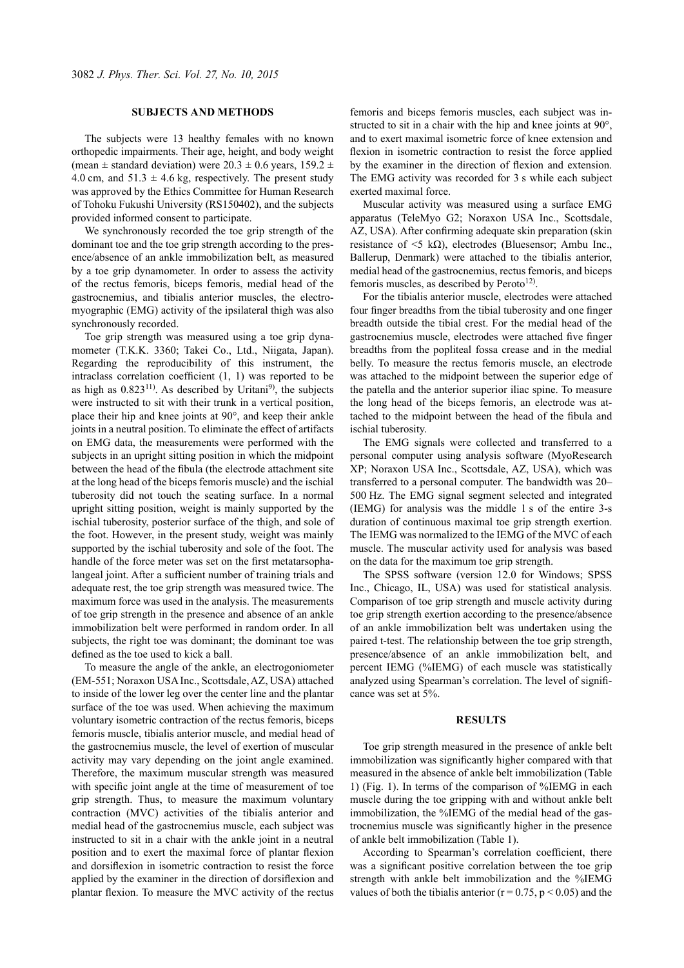## **SUBJECTS AND METHODS**

The subjects were 13 healthy females with no known orthopedic impairments. Their age, height, and body weight (mean  $\pm$  standard deviation) were 20.3  $\pm$  0.6 years, 159.2  $\pm$ 4.0 cm, and  $51.3 \pm 4.6$  kg, respectively. The present study was approved by the Ethics Committee for Human Research of Tohoku Fukushi University (RS150402), and the subjects provided informed consent to participate.

We synchronously recorded the toe grip strength of the dominant toe and the toe grip strength according to the presence/absence of an ankle immobilization belt, as measured by a toe grip dynamometer. In order to assess the activity of the rectus femoris, biceps femoris, medial head of the gastrocnemius, and tibialis anterior muscles, the electromyographic (EMG) activity of the ipsilateral thigh was also synchronously recorded.

Toe grip strength was measured using a toe grip dynamometer (T.K.K. 3360; Takei Co., Ltd., Niigata, Japan). Regarding the reproducibility of this instrument, the intraclass correlation coefficient (1, 1) was reported to be as high as  $0.823^{11}$ . As described by Uritani<sup>[9](#page-3-6)</sup>, the subjects were instructed to sit with their trunk in a vertical position, place their hip and knee joints at 90°, and keep their ankle joints in a neutral position. To eliminate the effect of artifacts on EMG data, the measurements were performed with the subjects in an upright sitting position in which the midpoint between the head of the fibula (the electrode attachment site at the long head of the biceps femoris muscle) and the ischial tuberosity did not touch the seating surface. In a normal upright sitting position, weight is mainly supported by the ischial tuberosity, posterior surface of the thigh, and sole of the foot. However, in the present study, weight was mainly supported by the ischial tuberosity and sole of the foot. The handle of the force meter was set on the first metatarsophalangeal joint. After a sufficient number of training trials and adequate rest, the toe grip strength was measured twice. The maximum force was used in the analysis. The measurements of toe grip strength in the presence and absence of an ankle immobilization belt were performed in random order. In all subjects, the right toe was dominant; the dominant toe was defined as the toe used to kick a ball.

To measure the angle of the ankle, an electrogoniometer (EM-551; Noraxon USA Inc., Scottsdale, AZ, USA) attached to inside of the lower leg over the center line and the plantar surface of the toe was used. When achieving the maximum voluntary isometric contraction of the rectus femoris, biceps femoris muscle, tibialis anterior muscle, and medial head of the gastrocnemius muscle, the level of exertion of muscular activity may vary depending on the joint angle examined. Therefore, the maximum muscular strength was measured with specific joint angle at the time of measurement of toe grip strength. Thus, to measure the maximum voluntary contraction (MVC) activities of the tibialis anterior and medial head of the gastrocnemius muscle, each subject was instructed to sit in a chair with the ankle joint in a neutral position and to exert the maximal force of plantar flexion and dorsiflexion in isometric contraction to resist the force applied by the examiner in the direction of dorsiflexion and plantar flexion. To measure the MVC activity of the rectus

femoris and biceps femoris muscles, each subject was instructed to sit in a chair with the hip and knee joints at 90°, and to exert maximal isometric force of knee extension and flexion in isometric contraction to resist the force applied by the examiner in the direction of flexion and extension. The EMG activity was recorded for 3 s while each subject exerted maximal force.

Muscular activity was measured using a surface EMG apparatus (TeleMyo G2; Noraxon USA Inc., Scottsdale, AZ, USA). After confirming adequate skin preparation (skin resistance of  $\leq 5$  kΩ), electrodes (Bluesensor; Ambu Inc., Ballerup, Denmark) were attached to the tibialis anterior, medial head of the gastrocnemius, rectus femoris, and biceps femoris muscles, as described by Peroto $12$ ).

For the tibialis anterior muscle, electrodes were attached four finger breadths from the tibial tuberosity and one finger breadth outside the tibial crest. For the medial head of the gastrocnemius muscle, electrodes were attached five finger breadths from the popliteal fossa crease and in the medial belly. To measure the rectus femoris muscle, an electrode was attached to the midpoint between the superior edge of the patella and the anterior superior iliac spine. To measure the long head of the biceps femoris, an electrode was attached to the midpoint between the head of the fibula and ischial tuberosity.

The EMG signals were collected and transferred to a personal computer using analysis software (MyoResearch XP; Noraxon USA Inc., Scottsdale, AZ, USA), which was transferred to a personal computer. The bandwidth was 20– 500 Hz. The EMG signal segment selected and integrated (IEMG) for analysis was the middle 1 s of the entire 3-s duration of continuous maximal toe grip strength exertion. The IEMG was normalized to the IEMG of the MVC of each muscle. The muscular activity used for analysis was based on the data for the maximum toe grip strength.

The SPSS software (version 12.0 for Windows; SPSS Inc., Chicago, IL, USA) was used for statistical analysis. Comparison of toe grip strength and muscle activity during toe grip strength exertion according to the presence/absence of an ankle immobilization belt was undertaken using the paired t-test. The relationship between the toe grip strength, presence/absence of an ankle immobilization belt, and percent IEMG (%IEMG) of each muscle was statistically analyzed using Spearman's correlation. The level of significance was set at 5%.

### **RESULTS**

Toe grip strength measured in the presence of ankle belt immobilization was significantly higher compared with that measured in the absence of ankle belt immobilization (Table 1) (Fig. 1). In terms of the comparison of %IEMG in each muscle during the toe gripping with and without ankle belt immobilization, the %IEMG of the medial head of the gastrocnemius muscle was significantly higher in the presence of ankle belt immobilization (Table 1).

According to Spearman's correlation coefficient, there was a significant positive correlation between the toe grip strength with ankle belt immobilization and the %IEMG values of both the tibialis anterior ( $r = 0.75$ ,  $p < 0.05$ ) and the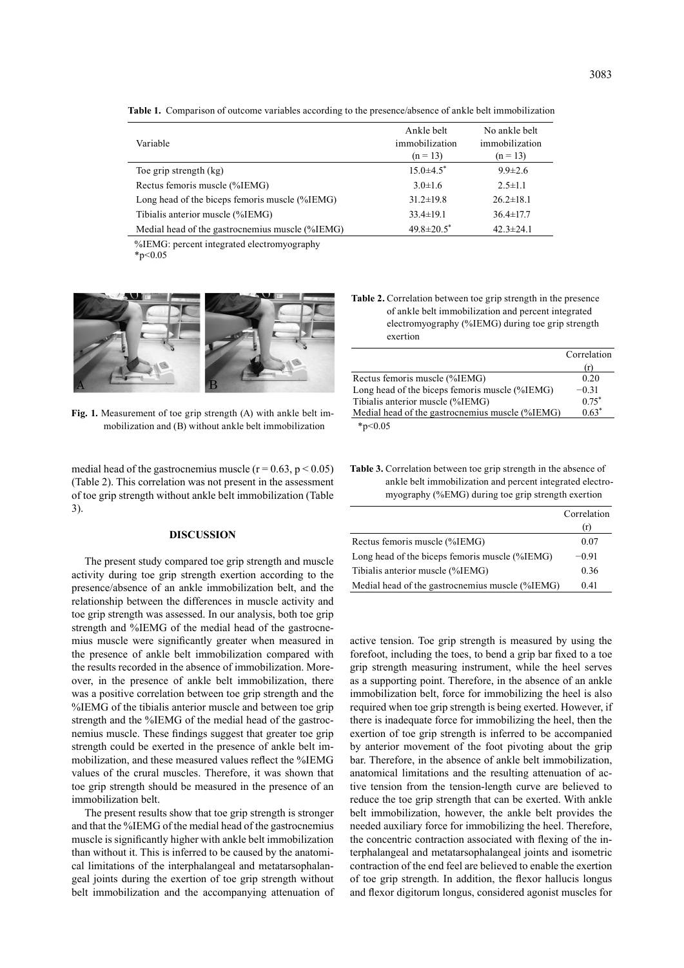| Variable                                        | Ankle belt<br>immobilization<br>$(n = 13)$ | No ankle belt<br>immobilization<br>$(n = 13)$ |
|-------------------------------------------------|--------------------------------------------|-----------------------------------------------|
| Toe grip strength (kg)                          | $15.0 \pm 4.5^*$                           | $9.9 \pm 2.6$                                 |
| Rectus femoris muscle (%IEMG)                   | $3.0 \pm 1.6$                              | $2.5 \pm 1.1$                                 |
| Long head of the biceps femoris muscle (%IEMG)  | $31.2 \pm 19.8$                            | $26.2 \pm 18.1$                               |
| Tibialis anterior muscle (%IEMG)                | $33.4 \pm 19.1$                            | $36.4 \pm 17.7$                               |
| Medial head of the gastrocnemius muscle (%IEMG) | $49.8 \pm 20.5^*$                          | $42.3 \pm 24.1$                               |

**Table 1.** Comparison of outcome variables according to the presence/absence of ankle belt immobilization

%IEMG: percent integrated electromyography  $*_{p<0.05}$ 



**Fig. 1.** Measurement of toe grip strength (A) with ankle belt immobilization and (B) without ankle belt immobilization

medial head of the gastrocnemius muscle ( $r = 0.63$ ,  $p < 0.05$ ) (Table 2). This correlation was not present in the assessment of toe grip strength without ankle belt immobilization (Table 3).

### **DISCUSSION**

The present study compared toe grip strength and muscle activity during toe grip strength exertion according to the presence/absence of an ankle immobilization belt, and the relationship between the differences in muscle activity and toe grip strength was assessed. In our analysis, both toe grip strength and %IEMG of the medial head of the gastrocnemius muscle were significantly greater when measured in the presence of ankle belt immobilization compared with the results recorded in the absence of immobilization. Moreover, in the presence of ankle belt immobilization, there was a positive correlation between toe grip strength and the %IEMG of the tibialis anterior muscle and between toe grip strength and the %IEMG of the medial head of the gastrocnemius muscle. These findings suggest that greater toe grip strength could be exerted in the presence of ankle belt immobilization, and these measured values reflect the %IEMG values of the crural muscles. Therefore, it was shown that toe grip strength should be measured in the presence of an immobilization belt.

The present results show that toe grip strength is stronger and that the %IEMG of the medial head of the gastrocnemius muscle is significantly higher with ankle belt immobilization than without it. This is inferred to be caused by the anatomical limitations of the interphalangeal and metatarsophalangeal joints during the exertion of toe grip strength without belt immobilization and the accompanying attenuation of

| <b>Table 2.</b> Correlation between toe grip strength in the presence |
|-----------------------------------------------------------------------|
| of ankle belt immobilization and percent integrated                   |
| electromyography (%IEMG) during toe grip strength                     |
| exertion                                                              |

|                                                 | Correlation |
|-------------------------------------------------|-------------|
|                                                 | (r)         |
| Rectus femoris muscle (%IEMG)                   | 0.20        |
| Long head of the biceps femoris muscle (%IEMG)  | $-0.31$     |
| Tibialis anterior muscle (%IEMG)                | $0.75*$     |
| Medial head of the gastrocnemius muscle (%IEMG) | $0.63*$     |
| $*_{p<0.05}$                                    |             |

**Table 3.** Correlation between toe grip strength in the absence of ankle belt immobilization and percent integrated electromyography (%EMG) during toe grip strength exertion

|                                                 | Correlation<br>(r) |
|-------------------------------------------------|--------------------|
| Rectus femoris muscle (%IEMG)                   | 0.07               |
| Long head of the biceps femoris muscle (%IEMG)  | $-0.91$            |
| Tibialis anterior muscle (%IEMG)                | 0.36               |
| Medial head of the gastrocnemius muscle (%IEMG) | 0.41               |

active tension. Toe grip strength is measured by using the forefoot, including the toes, to bend a grip bar fixed to a toe grip strength measuring instrument, while the heel serves as a supporting point. Therefore, in the absence of an ankle immobilization belt, force for immobilizing the heel is also required when toe grip strength is being exerted. However, if there is inadequate force for immobilizing the heel, then the exertion of toe grip strength is inferred to be accompanied by anterior movement of the foot pivoting about the grip bar. Therefore, in the absence of ankle belt immobilization, anatomical limitations and the resulting attenuation of active tension from the tension-length curve are believed to reduce the toe grip strength that can be exerted. With ankle belt immobilization, however, the ankle belt provides the needed auxiliary force for immobilizing the heel. Therefore, the concentric contraction associated with flexing of the interphalangeal and metatarsophalangeal joints and isometric contraction of the end feel are believed to enable the exertion of toe grip strength. In addition, the flexor hallucis longus and flexor digitorum longus, considered agonist muscles for